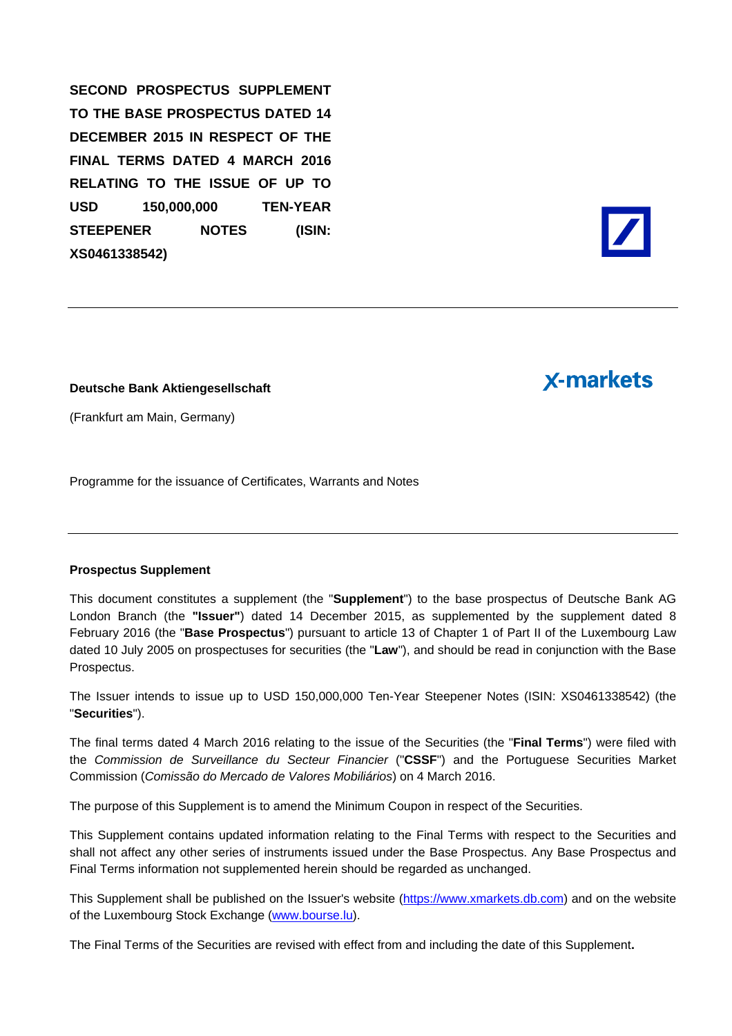**SECOND PROSPECTUS SUPPLEMENT TO THE BASE PROSPECTUS DATED 14 DECEMBER 2015 IN RESPECT OF THE FINAL TERMS DATED 4 MARCH 2016 RELATING TO THE ISSUE OF UP TO USD 150,000,000 TEN-YEAR STEEPENER NOTES (ISIN: XS0461338542)** 

# **X-markets**

**Deutsche Bank Aktiengesellschaft** 

(Frankfurt am Main, Germany)

Programme for the issuance of Certificates, Warrants and Notes

#### **Prospectus Supplement**

This document constitutes a supplement (the "**Supplement**") to the base prospectus of Deutsche Bank AG London Branch (the **"Issuer"**) dated 14 December 2015, as supplemented by the supplement dated 8 February 2016 (the "**Base Prospectus**") pursuant to article 13 of Chapter 1 of Part II of the Luxembourg Law dated 10 July 2005 on prospectuses for securities (the "**Law**"), and should be read in conjunction with the Base Prospectus.

The Issuer intends to issue up to USD 150,000,000 Ten-Year Steepener Notes (ISIN: XS0461338542) (the "**Securities**").

The final terms dated 4 March 2016 relating to the issue of the Securities (the "**Final Terms**") were filed with the *Commission de Surveillance du Secteur Financier* ("**CSSF**") and the Portuguese Securities Market Commission (*Comissão do Mercado de Valores Mobiliários*) on 4 March 2016.

The purpose of this Supplement is to amend the Minimum Coupon in respect of the Securities.

This Supplement contains updated information relating to the Final Terms with respect to the Securities and shall not affect any other series of instruments issued under the Base Prospectus. Any Base Prospectus and Final Terms information not supplemented herein should be regarded as unchanged.

This Supplement shall be published on the Issuer's website (https://www.xmarkets.db.com) and on the website of the Luxembourg Stock Exchange (www.bourse.lu).

The Final Terms of the Securities are revised with effect from and including the date of this Supplement**.**